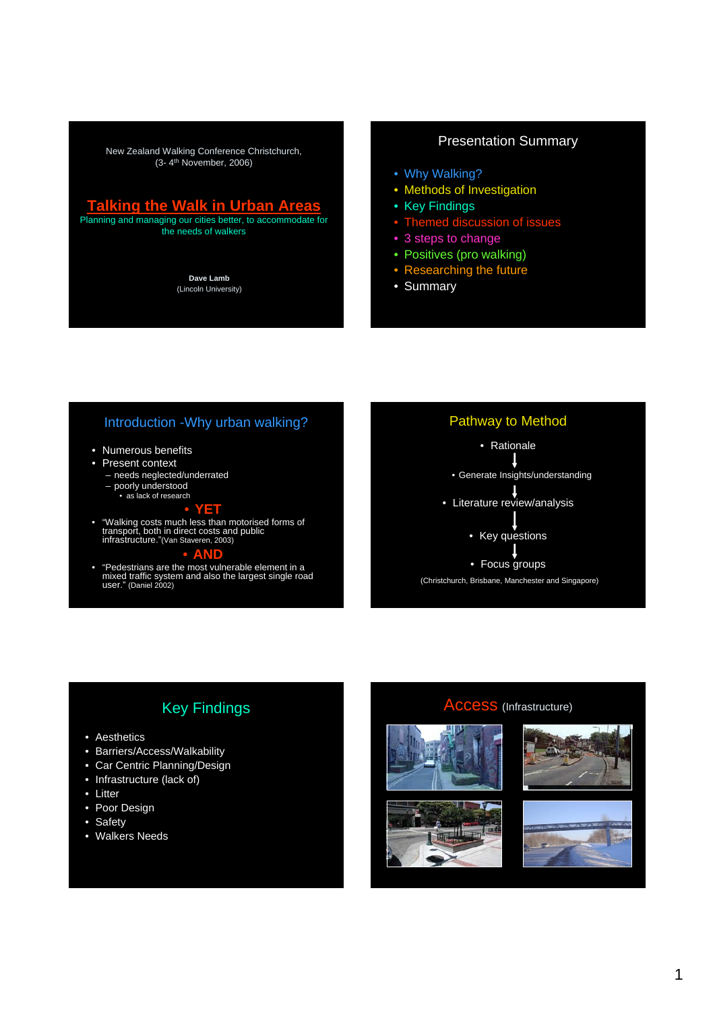New Zealand Walking Conference Christchurch, (3- 4th November, 2006)

# **Talking the Walk in Urban Areas**

Planning and managing our cities better, to accommodate for the needs of walkers

> **Dave Lamb** (Lincoln University)

# Presentation Summary

- Why Walking?
- Methods of Investigation
- Key Findings
- Themed discussion of issues
- 3 steps to change
- Positives (pro walking)
- Researching the future
- Summary

# Introduction -Why urban walking?

- Numerous benefits
- Present context
	- needs neglected/underrated – poorly understood • as lack of research
		-

• "Walking costs much less than motorised forms of transport, both in direct costs and public infrastructure."(Van Staveren, 2003)

• **YET**

# • **AND**

• "Pedestrians are the most vulnerable element in a mixed traffic system and also the largest single road user." (Daniel 2002)



# Key Findings

- Aesthetics
- Barriers/Access/Walkability
- Car Centric Planning/Design
- Infrastructure (lack of)
- Litter
- Poor Design
- Safety
- Walkers Needs

# Access (Infrastructure)







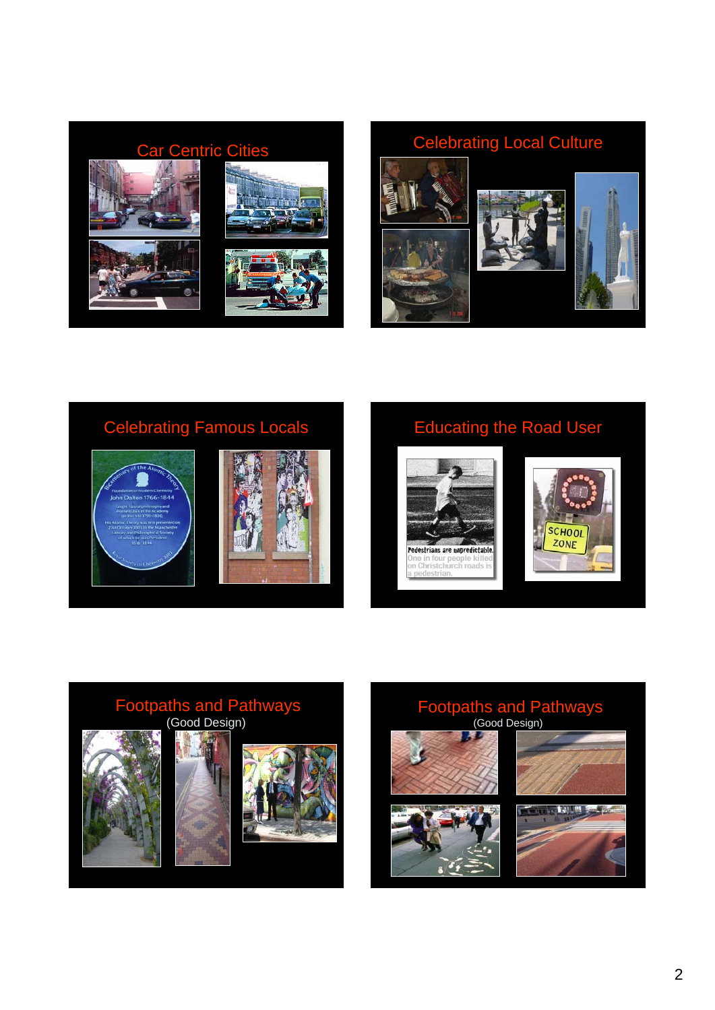







# Footpaths and Pathways (Good Design)

# Footpaths and Pathways (Good Design)**The Party**



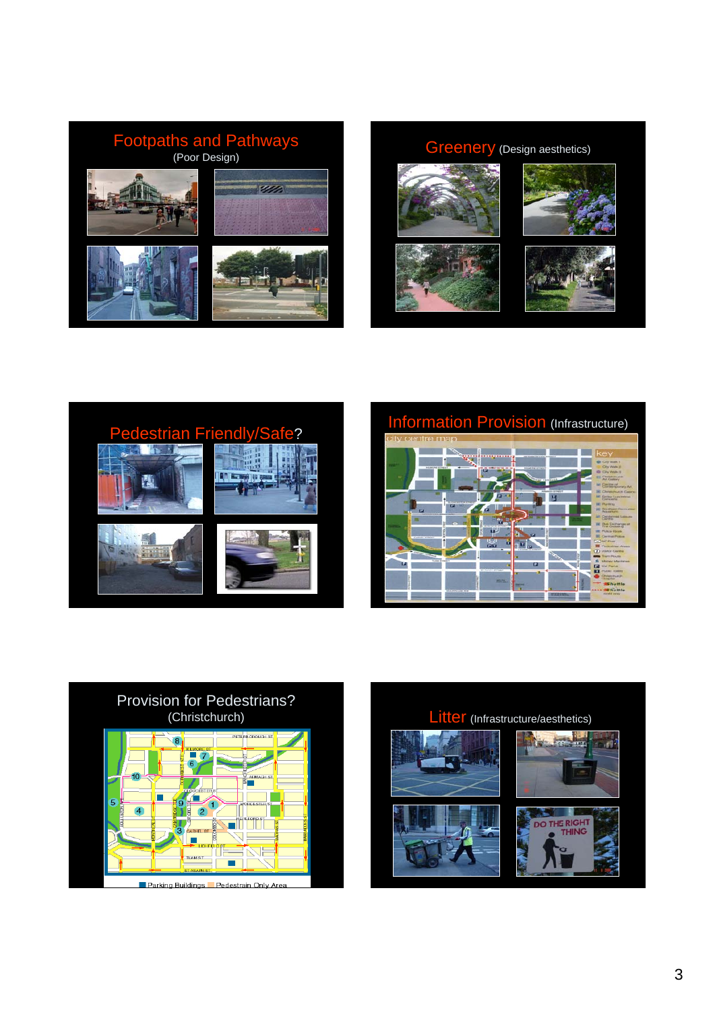

# Greenery (Design aesthetics)













Litter (Infrastructure/aesthetics) 前 **ER**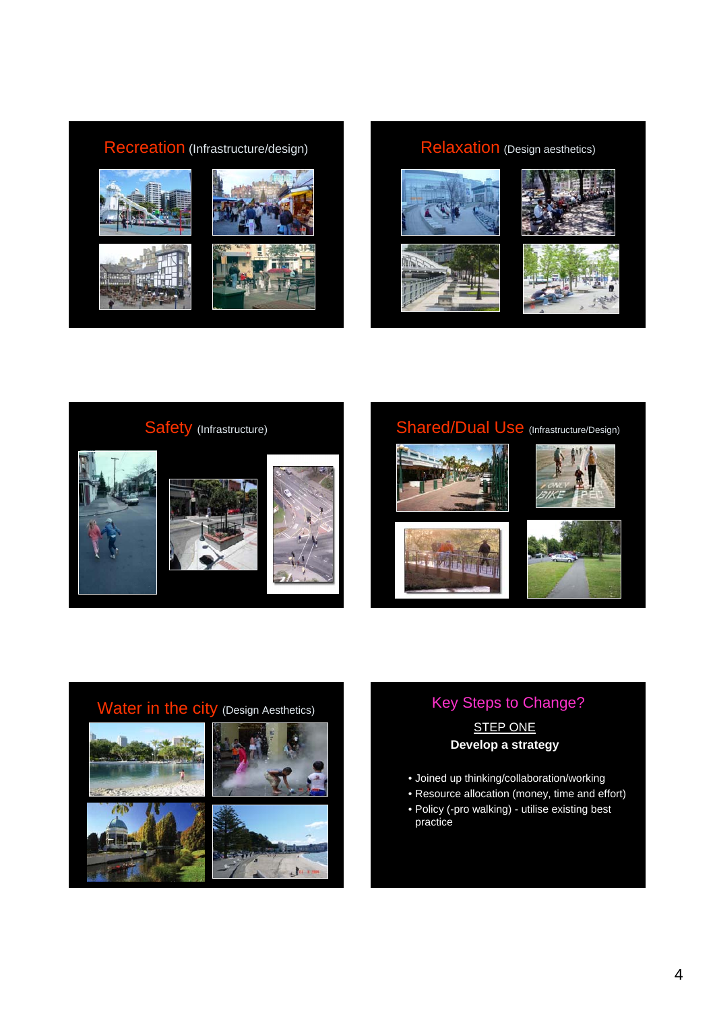













# **STEP ONE Develop a strategy**

- Joined up thinking/collaboration/working
- Resource allocation (money, time and effort)
- Policy (-pro walking) utilise existing best practice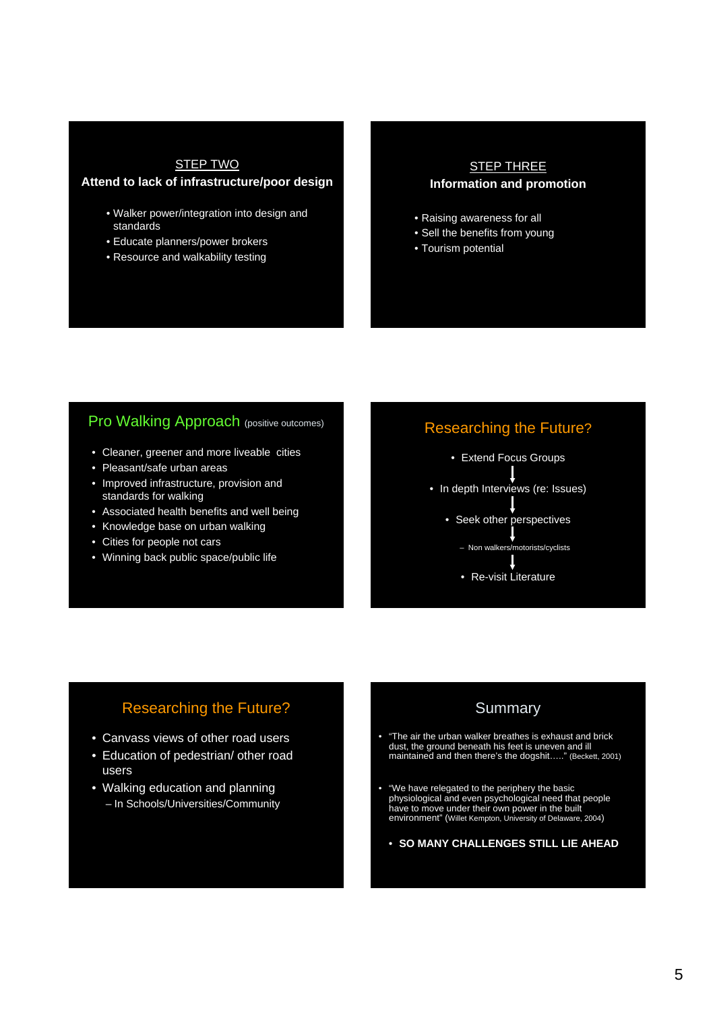# STEP TWO

# **Attend to lack of infrastructure/poor design**

- Walker power/integration into design and standards
- Educate planners/power brokers
- Resource and walkability testing

# STEP THREE **Information and promotion**

- Raising awareness for all
- Sell the benefits from young
- Tourism potential

# Pro Walking Approach (positive outcomes)

- Cleaner, greener and more liveable cities
- Pleasant/safe urban areas
- Improved infrastructure, provision and standards for walking
- Associated health benefits and well being
- Knowledge base on urban walking
- Cities for people not cars
- Winning back public space/public life

# Researching the Future?

- Extend Focus Groups
- In depth Interviews (re: Issues)
	- Seek other perspectives
		- Non walkers/motorists/cyclists
		- Re-visit Literature

# Researching the Future?

- Canvass views of other road users
- Education of pedestrian/ other road users
- Walking education and planning – In Schools/Universities/Community

# Summary

- "The air the urban walker breathes is exhaust and brick dust, the ground beneath his feet is uneven and ill maintained and then there's the dogshit….." (Beckett, 2001)
- "We have relegated to the periphery the basic physiological and even psychological need that people have to move under their own power in the built environment" (Willet Kempton, University of Delaware, 2004)
	- **SO MANY CHALLENGES STILL LIE AHEAD**